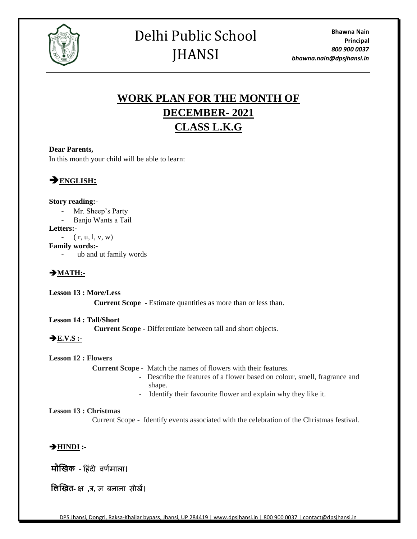

## Delhi Public School **JHANSI**

## **WORK PLAN FOR THE MONTH OF DECEMBER- 2021 CLASS L.K.G**

#### **Dear Parents,**

In this month your child will be able to learn:



#### **Story reading:-**

- Mr. Sheep's Party
- Banjo Wants a Tail

**Letters:-**

 $-$  ( r, u, l, v, w)

**Family words:-**

-ub and ut family words

### ➔**MATH:-**

**Lesson 13 : More/Less Current Scope -** Estimate quantities as more than or less than.

**Lesson 14 : Tall/Short Current Scope** - Differentiate between tall and short objects.

## $\rightarrow$  <u>E.V.S</u> :-

#### **Lesson 12 : Flowers**

 **Current Scope** - Match the names of flowers with their features.

- Describe the features of a flower based on colour, smell, fragrance and shape.
- Identify their favourite flower and explain why they like it.

#### **Lesson 13 : Christmas**

Current Scope - Identify events associated with the celebration of the Christmas festival.

#### ➔**HINDI :-**

**मौखिक -** हिंदी वर्णमाला।

**लिखित-** क्ष **,**त्र**,** ज्ञ बनाना सीखें।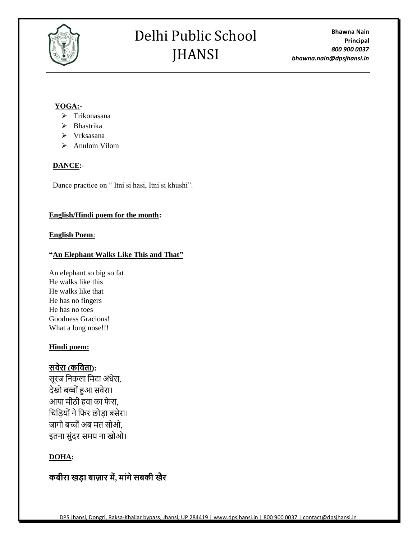

# Delhi Public School JHANSI

**Bhawna Nain Principal** *800 900 0037 bhawna.nain@dpsjhansi.in*

#### **YOGA:-**

- ➢ Trikonasana
- ➢ Bhastrika
- ➢ Vrksasana
- ➢ Anulom Vilom

#### **DANCE:-**

Dance practice on " Itni si hasi, Itni si khushi".

#### **English/Hindi poem for the month:**

#### **English Poem**:

#### **"An Elephant Walks Like This and That"**

An elephant so big so fat He walks like this He walks like that He has no fingers He has no toes Goodness Gracious! What a long nose!!!

#### **Hindi poem:**

## **सवेरा (कववता):**

सूरज निकला निटा अंधेरा, देखो बच्ोंहुआ सवेरा। आया मीठी हवा का फेरा, चिड़ियों ने फिर छोड़ा बसेरा। जागो बच्चों अब मत सोओ, इतना सुंदर समय ना खोओ।

### **DOHA:**

## **कबीरा खडा बाजार में, माांगेसबकी खैर**